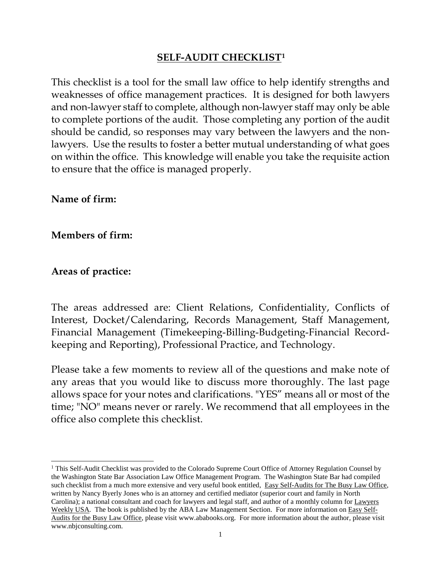#### **SELF-AUDIT CHECKLIST[1](#page-0-0)**

This checklist is a tool for the small law office to help identify strengths and weaknesses of office management practices. It is designed for both lawyers and non-lawyer staff to complete, although non-lawyer staff may only be able to complete portions of the audit. Those completing any portion of the audit should be candid, so responses may vary between the lawyers and the nonlawyers. Use the results to foster a better mutual understanding of what goes on within the office. This knowledge will enable you take the requisite action to ensure that the office is managed properly.

**Name of firm:**

#### **Members of firm:**

#### **Areas of practice:**

The areas addressed are: Client Relations, Confidentiality, Conflicts of Interest, Docket/Calendaring, Records Management, Staff Management, Financial Management (Timekeeping-Billing-Budgeting-Financial Recordkeeping and Reporting), Professional Practice, and Technology.

Please take a few moments to review all of the questions and make note of any areas that you would like to discuss more thoroughly. The last page allows space for your notes and clarifications. "YES" means all or most of the time; "NO" means never or rarely. We recommend that all employees in the office also complete this checklist.

<span id="page-0-0"></span><sup>&</sup>lt;sup>1</sup> This Self-Audit Checklist was provided to the Colorado Supreme Court Office of Attorney Regulation Counsel by the Washington State Bar Association Law Office Management Program. The Washington State Bar had compiled such checklist from a much more extensive and very useful book entitled, Easy Self-Audits for The Busy Law Office, written by Nancy Byerly Jones who is an attorney and certified mediator (superior court and family in North Carolina); a national consultant and coach for lawyers and legal staff, and author of a monthly column for Lawyers Weekly USA. The book is published by the ABA Law Management Section. For more information on Easy Self-Audits for the Busy Law Office, please visit www.ababooks.org. For more information about the author, please visit www.nbjconsulting.com.  $\overline{a}$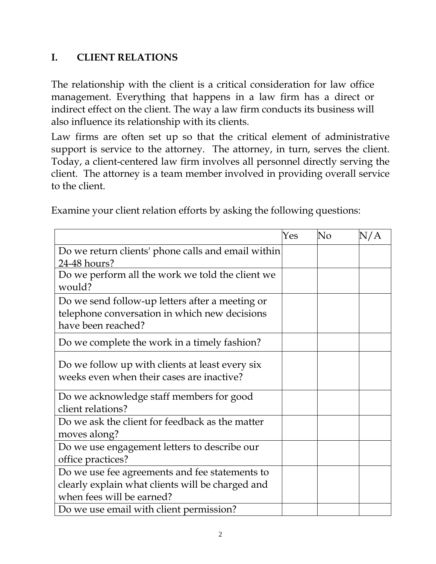### **I. CLIENT RELATIONS**

The relationship with the client is a critical consideration for law office management. Everything that happens in a law firm has a direct or indirect effect on the client. The way a law firm conducts its business will also influence its relationship with its clients.

Law firms are often set up so that the critical element of administrative support is service to the attorney. The attorney, in turn, serves the client. Today, a client-centered law firm involves all personnel directly serving the client. The attorney is a team member involved in providing overall service to the client.

Examine your client relation efforts by asking the following questions:

|                                                                                              | Yes | No | N/A |
|----------------------------------------------------------------------------------------------|-----|----|-----|
| Do we return clients' phone calls and email within                                           |     |    |     |
| 24-48 hours?                                                                                 |     |    |     |
| Do we perform all the work we told the client we<br>would?                                   |     |    |     |
| Do we send follow-up letters after a meeting or                                              |     |    |     |
| telephone conversation in which new decisions                                                |     |    |     |
| have been reached?                                                                           |     |    |     |
| Do we complete the work in a timely fashion?                                                 |     |    |     |
| Do we follow up with clients at least every six<br>weeks even when their cases are inactive? |     |    |     |
| Do we acknowledge staff members for good                                                     |     |    |     |
| client relations?                                                                            |     |    |     |
| Do we ask the client for feedback as the matter                                              |     |    |     |
| moves along?                                                                                 |     |    |     |
| Do we use engagement letters to describe our                                                 |     |    |     |
| office practices?                                                                            |     |    |     |
| Do we use fee agreements and fee statements to                                               |     |    |     |
| clearly explain what clients will be charged and                                             |     |    |     |
| when fees will be earned?                                                                    |     |    |     |
| Do we use email with client permission?                                                      |     |    |     |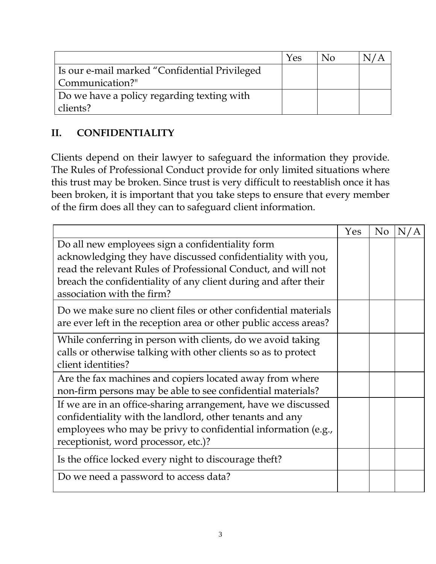|                                               | Yes | Nο |  |
|-----------------------------------------------|-----|----|--|
| Is our e-mail marked "Confidential Privileged |     |    |  |
| Communication?"                               |     |    |  |
| Do we have a policy regarding texting with    |     |    |  |
| clients?                                      |     |    |  |

## **II. CONFIDENTIALITY**

Clients depend on their lawyer to safeguard the information they provide. The Rules of Professional Conduct provide for only limited situations where this trust may be broken. Since trust is very difficult to reestablish once it has been broken, it is important that you take steps to ensure that every member of the firm does all they can to safeguard client information.

|                                                                                                                                                                                                                                                                                   | Yes | N <sub>o</sub> | N/A |
|-----------------------------------------------------------------------------------------------------------------------------------------------------------------------------------------------------------------------------------------------------------------------------------|-----|----------------|-----|
| Do all new employees sign a confidentiality form<br>acknowledging they have discussed confidentiality with you,<br>read the relevant Rules of Professional Conduct, and will not<br>breach the confidentiality of any client during and after their<br>association with the firm? |     |                |     |
| Do we make sure no client files or other confidential materials<br>are ever left in the reception area or other public access areas?                                                                                                                                              |     |                |     |
| While conferring in person with clients, do we avoid taking<br>calls or otherwise talking with other clients so as to protect<br>client identities?                                                                                                                               |     |                |     |
| Are the fax machines and copiers located away from where<br>non-firm persons may be able to see confidential materials?                                                                                                                                                           |     |                |     |
| If we are in an office-sharing arrangement, have we discussed<br>confidentiality with the landlord, other tenants and any<br>employees who may be privy to confidential information (e.g.,<br>receptionist, word processor, etc.)?                                                |     |                |     |
| Is the office locked every night to discourage theft?                                                                                                                                                                                                                             |     |                |     |
| Do we need a password to access data?                                                                                                                                                                                                                                             |     |                |     |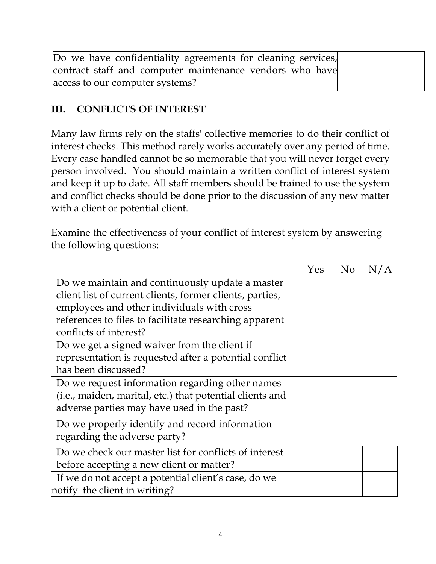| Do we have confidentiality agreements for cleaning services, |  |  |
|--------------------------------------------------------------|--|--|
| contract staff and computer maintenance vendors who have     |  |  |
| access to our computer systems?                              |  |  |

#### **III. CONFLICTS OF INTEREST**

Many law firms rely on the staffs' collective memories to do their conflict of interest checks. This method rarely works accurately over any period of time. Every case handled cannot be so memorable that you will never forget every person involved. You should maintain a written conflict of interest system and keep it up to date. All staff members should be trained to use the system and conflict checks should be done prior to the discussion of any new matter with a client or potential client.

Examine the effectiveness of your conflict of interest system by answering the following questions:

|                                                          | Yes | N <sub>o</sub> | N/A |
|----------------------------------------------------------|-----|----------------|-----|
| Do we maintain and continuously update a master          |     |                |     |
| client list of current clients, former clients, parties, |     |                |     |
| employees and other individuals with cross               |     |                |     |
| references to files to facilitate researching apparent   |     |                |     |
| conflicts of interest?                                   |     |                |     |
| Do we get a signed waiver from the client if             |     |                |     |
| representation is requested after a potential conflict   |     |                |     |
| has been discussed?                                      |     |                |     |
| Do we request information regarding other names          |     |                |     |
| (i.e., maiden, marital, etc.) that potential clients and |     |                |     |
| adverse parties may have used in the past?               |     |                |     |
| Do we properly identify and record information           |     |                |     |
| regarding the adverse party?                             |     |                |     |
| Do we check our master list for conflicts of interest    |     |                |     |
| before accepting a new client or matter?                 |     |                |     |
| If we do not accept a potential client's case, do we     |     |                |     |
| notify the client in writing?                            |     |                |     |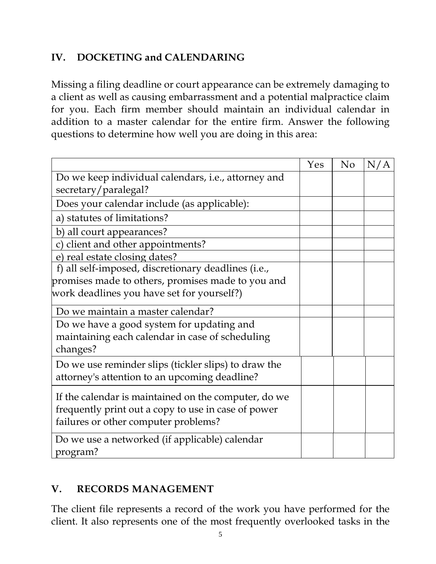### **IV. DOCKETING and CALENDARING**

Missing a filing deadline or court appearance can be extremely damaging to a client as well as causing embarrassment and a potential malpractice claim for you. Each firm member should maintain an individual calendar in addition to a master calendar for the entire firm. Answer the following questions to determine how well you are doing in this area:

|                                                                                                       | Yes | No | N/A |
|-------------------------------------------------------------------------------------------------------|-----|----|-----|
| Do we keep individual calendars, i.e., attorney and                                                   |     |    |     |
| secretary/paralegal?                                                                                  |     |    |     |
| Does your calendar include (as applicable):                                                           |     |    |     |
| a) statutes of limitations?                                                                           |     |    |     |
| b) all court appearances?                                                                             |     |    |     |
| c) client and other appointments?                                                                     |     |    |     |
| e) real estate closing dates?                                                                         |     |    |     |
| f) all self-imposed, discretionary deadlines (i.e.,                                                   |     |    |     |
| promises made to others, promises made to you and                                                     |     |    |     |
| work deadlines you have set for yourself?)                                                            |     |    |     |
| Do we maintain a master calendar?                                                                     |     |    |     |
| Do we have a good system for updating and                                                             |     |    |     |
| maintaining each calendar in case of scheduling                                                       |     |    |     |
| changes?                                                                                              |     |    |     |
| Do we use reminder slips (tickler slips) to draw the<br>attorney's attention to an upcoming deadline? |     |    |     |
|                                                                                                       |     |    |     |
| If the calendar is maintained on the computer, do we                                                  |     |    |     |
| frequently print out a copy to use in case of power                                                   |     |    |     |
| failures or other computer problems?                                                                  |     |    |     |
| Do we use a networked (if applicable) calendar                                                        |     |    |     |
| program?                                                                                              |     |    |     |

### **V. RECORDS MANAGEMENT**

The client file represents a record of the work you have performed for the client. It also represents one of the most frequently overlooked tasks in the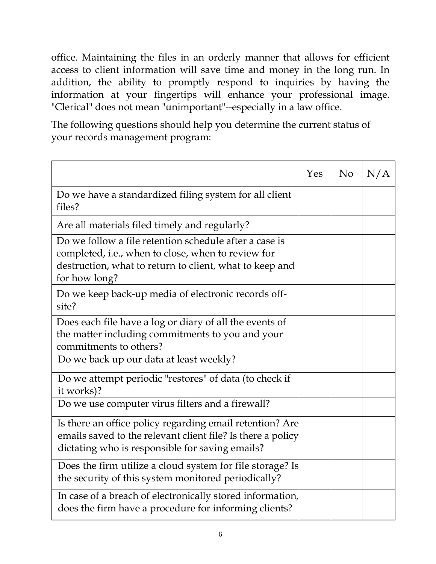office. Maintaining the files in an orderly manner that allows for efficient access to client information will save time and money in the long run. In addition, the ability to promptly respond to inquiries by having the information at your fingertips will enhance your professional image. "Clerical" does not mean "unimportant"--especially in a law office.

The following questions should help you determine the current status of your records management program:

|                                                                                                                                                                                          | Yes | No | N/A |
|------------------------------------------------------------------------------------------------------------------------------------------------------------------------------------------|-----|----|-----|
| Do we have a standardized filing system for all client<br>files?                                                                                                                         |     |    |     |
| Are all materials filed timely and regularly?                                                                                                                                            |     |    |     |
| Do we follow a file retention schedule after a case is<br>completed, i.e., when to close, when to review for<br>destruction, what to return to client, what to keep and<br>for how long? |     |    |     |
| Do we keep back-up media of electronic records off-<br>site?                                                                                                                             |     |    |     |
| Does each file have a log or diary of all the events of<br>the matter including commitments to you and your<br>commitments to others?                                                    |     |    |     |
| Do we back up our data at least weekly?                                                                                                                                                  |     |    |     |
| Do we attempt periodic "restores" of data (to check if<br>it works)?                                                                                                                     |     |    |     |
| Do we use computer virus filters and a firewall?                                                                                                                                         |     |    |     |
| Is there an office policy regarding email retention? Are<br>emails saved to the relevant client file? Is there a policy<br>dictating who is responsible for saving emails?               |     |    |     |
| Does the firm utilize a cloud system for file storage? Is<br>the security of this system monitored periodically?                                                                         |     |    |     |
| In case of a breach of electronically stored information,<br>does the firm have a procedure for informing clients?                                                                       |     |    |     |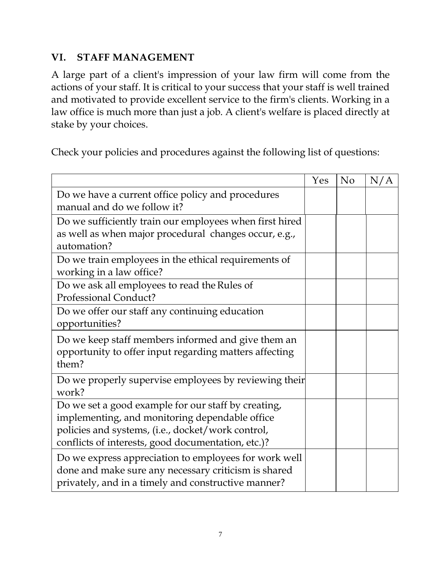#### **VI. STAFF MANAGEMENT**

A large part of a client's impression of your law firm will come from the actions of your staff. It is critical to your success that your staff is well trained and motivated to provide excellent service to the firm's clients. Working in a law office is much more than just a job. A client's welfare is placed directly at stake by your choices.

Check your policies and procedures against the following list of questions:

|                                                         | Yes | No | N/A |
|---------------------------------------------------------|-----|----|-----|
| Do we have a current office policy and procedures       |     |    |     |
| manual and do we follow it?                             |     |    |     |
| Do we sufficiently train our employees when first hired |     |    |     |
| as well as when major procedural changes occur, e.g.,   |     |    |     |
| automation?                                             |     |    |     |
| Do we train employees in the ethical requirements of    |     |    |     |
| working in a law office?                                |     |    |     |
| Do we ask all employees to read the Rules of            |     |    |     |
| Professional Conduct?                                   |     |    |     |
| Do we offer our staff any continuing education          |     |    |     |
| opportunities?                                          |     |    |     |
| Do we keep staff members informed and give them an      |     |    |     |
| opportunity to offer input regarding matters affecting  |     |    |     |
| them?                                                   |     |    |     |
| Do we properly supervise employees by reviewing their   |     |    |     |
| work?                                                   |     |    |     |
| Do we set a good example for our staff by creating,     |     |    |     |
| implementing, and monitoring dependable office          |     |    |     |
| policies and systems, (i.e., docket/work control,       |     |    |     |
| conflicts of interests, good documentation, etc.)?      |     |    |     |
| Do we express appreciation to employees for work well   |     |    |     |
| done and make sure any necessary criticism is shared    |     |    |     |
| privately, and in a timely and constructive manner?     |     |    |     |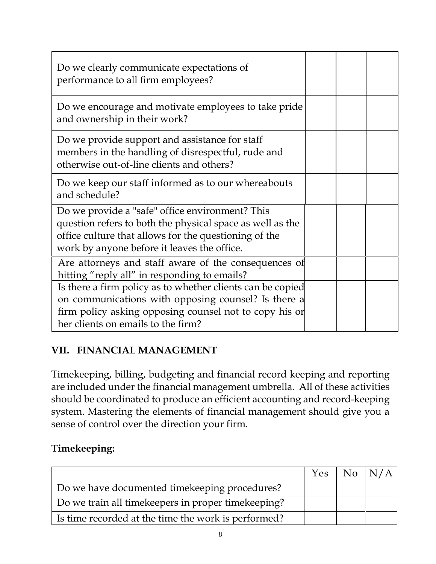| Do we clearly communicate expectations of<br>performance to all firm employees?                                                                                                                                      |  |  |
|----------------------------------------------------------------------------------------------------------------------------------------------------------------------------------------------------------------------|--|--|
| Do we encourage and motivate employees to take pride<br>and ownership in their work?                                                                                                                                 |  |  |
| Do we provide support and assistance for staff<br>members in the handling of disrespectful, rude and<br>otherwise out-of-line clients and others?                                                                    |  |  |
| Do we keep our staff informed as to our whereabouts<br>and schedule?                                                                                                                                                 |  |  |
| Do we provide a "safe" office environment? This<br>question refers to both the physical space as well as the<br>office culture that allows for the questioning of the<br>work by anyone before it leaves the office. |  |  |
| Are attorneys and staff aware of the consequences of<br>hitting "reply all" in responding to emails?                                                                                                                 |  |  |
| Is there a firm policy as to whether clients can be copied<br>on communications with opposing counsel? Is there a<br>firm policy asking opposing counsel not to copy his or<br>her clients on emails to the firm?    |  |  |

### **VII. FINANCIAL MANAGEMENT**

Timekeeping, billing, budgeting and financial record keeping and reporting are included under the financial management umbrella. All of these activities should be coordinated to produce an efficient accounting and record-keeping system. Mastering the elements of financial management should give you a sense of control over the direction your firm.

### **Timekeeping:**

|                                                       | <b>Yes</b> | $\overline{\phantom{a}}$ No |  |
|-------------------------------------------------------|------------|-----------------------------|--|
| Do we have documented timekeeping procedures?         |            |                             |  |
| Do we train all timekeepers in proper timekeeping?    |            |                             |  |
| I is time recorded at the time the work is performed? |            |                             |  |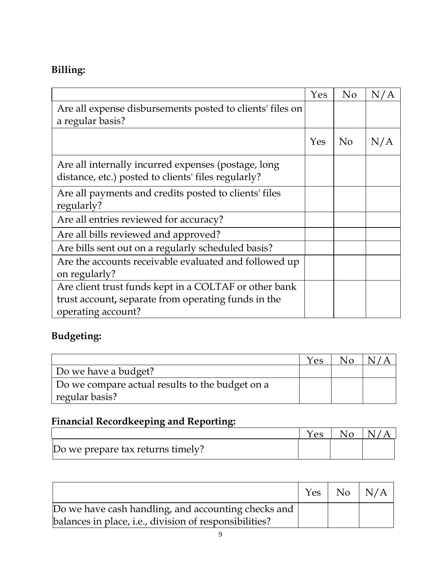# **Billing:**

|                                                                                                            | Yes | No             | N/A |
|------------------------------------------------------------------------------------------------------------|-----|----------------|-----|
| Are all expense disbursements posted to clients' files on                                                  |     |                |     |
| a regular basis?                                                                                           |     |                |     |
|                                                                                                            | Yes | N <sub>o</sub> | N/A |
| Are all internally incurred expenses (postage, long<br>distance, etc.) posted to clients' files regularly? |     |                |     |
| Are all payments and credits posted to clients' files<br>regularly?                                        |     |                |     |
| Are all entries reviewed for accuracy?                                                                     |     |                |     |
| Are all bills reviewed and approved?                                                                       |     |                |     |
| Are bills sent out on a regularly scheduled basis?                                                         |     |                |     |
| Are the accounts receivable evaluated and followed up<br>on regularly?                                     |     |                |     |
| Are client trust funds kept in a COLTAF or other bank                                                      |     |                |     |
| trust account, separate from operating funds in the                                                        |     |                |     |
| operating account?                                                                                         |     |                |     |

# **Budgeting:**

|                                                 | Yes | $N_{\Omega}$ |  |
|-------------------------------------------------|-----|--------------|--|
| Do we have a budget?                            |     |              |  |
| Do we compare actual results to the budget on a |     |              |  |
| regular basis?                                  |     |              |  |

## **Financial Recordkeeping and Reporting:**

|                                   | es | NΩ |  |
|-----------------------------------|----|----|--|
| Do we prepare tax returns timely? |    |    |  |

|                                                        | Yes | $No$ $N/A$ |
|--------------------------------------------------------|-----|------------|
| Do we have cash handling, and accounting checks and    |     |            |
| balances in place, i.e., division of responsibilities? |     |            |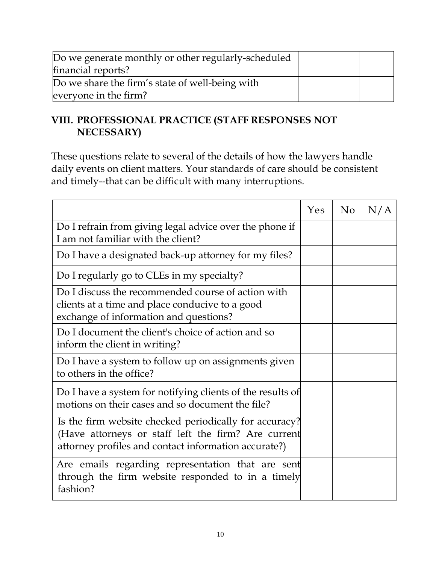| Do we generate monthly or other regularly-scheduled |  |  |
|-----------------------------------------------------|--|--|
| financial reports?                                  |  |  |
| Do we share the firm's state of well-being with     |  |  |
| everyone in the firm?                               |  |  |

## **VIII. PROFESSIONAL PRACTICE (STAFF RESPONSES NOT NECESSARY)**

These questions relate to several of the details of how the lawyers handle daily events on client matters. Your standards of care should be consistent and timely--that can be difficult with many interruptions.

|                                                                                                                                                                       | <b>Yes</b> | No | N/A |
|-----------------------------------------------------------------------------------------------------------------------------------------------------------------------|------------|----|-----|
| Do I refrain from giving legal advice over the phone if<br>I am not familiar with the client?                                                                         |            |    |     |
| Do I have a designated back-up attorney for my files?                                                                                                                 |            |    |     |
| Do I regularly go to CLEs in my specialty?                                                                                                                            |            |    |     |
| Do I discuss the recommended course of action with<br>clients at a time and place conducive to a good<br>exchange of information and questions?                       |            |    |     |
| Do I document the client's choice of action and so<br>inform the client in writing?                                                                                   |            |    |     |
| Do I have a system to follow up on assignments given<br>to others in the office?                                                                                      |            |    |     |
| Do I have a system for notifying clients of the results of<br>motions on their cases and so document the file?                                                        |            |    |     |
| Is the firm website checked periodically for accuracy?<br>(Have attorneys or staff left the firm? Are current<br>attorney profiles and contact information accurate?) |            |    |     |
| Are emails regarding representation that are sent<br>through the firm website responded to in a timely<br>fashion?                                                    |            |    |     |